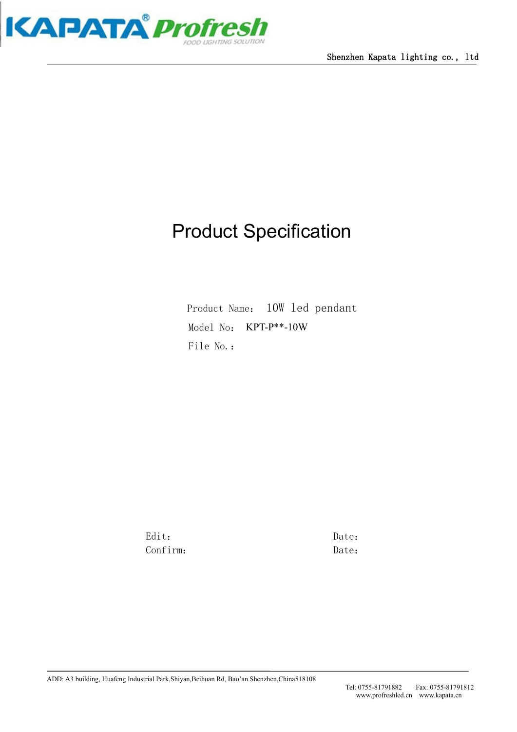

# Product Specification

Product Name: 10W led pendant Model No: KPT-P\*\*-10W File No.:

Edit: Date: Confirm: Date: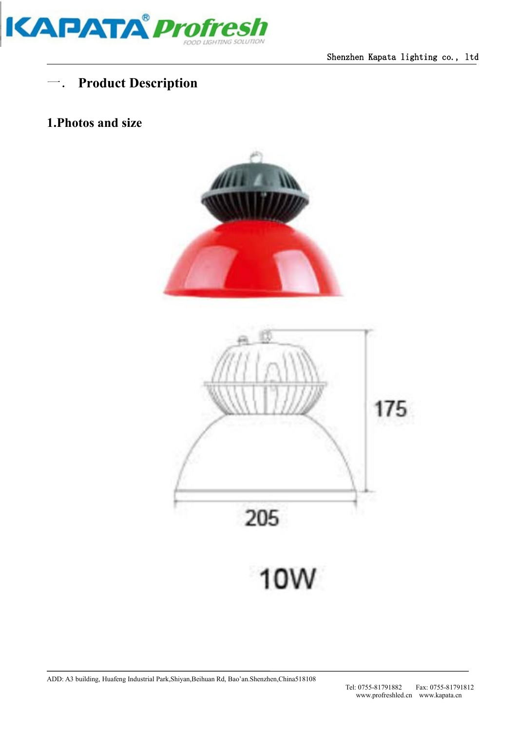

## 一. **Product Description**

#### **1.Photos and size**



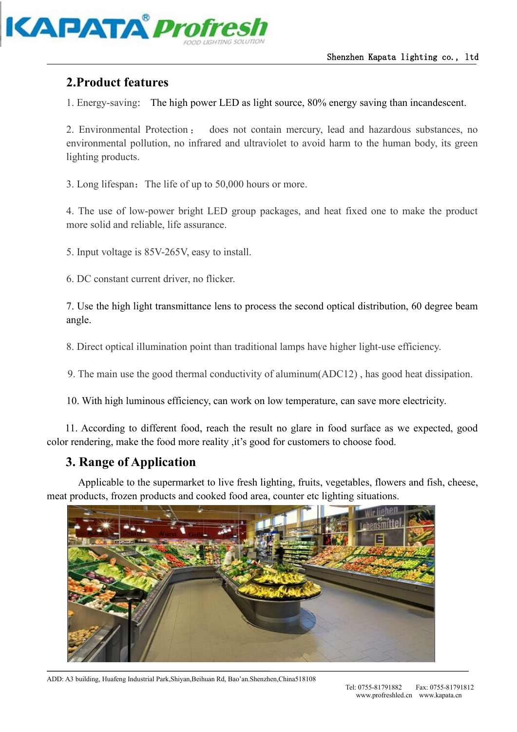

#### **2.Product features**

1. Energy-saving: The high power LED as lightsource, 80% energy saving than incandescent.

2. Environmental Protection : does not contain mercury, lead and hazardous substances, no environmental pollution, no infrared and ultraviolet to avoid harm to the human body, its green lighting products.

3. Long lifespan: The life of up to 50,000 hours or more.

4. The use of low-power bright LED group packages, and heat fixed one to make the product more solid and reliable, life assurance.

5. Input voltage is 85V-265V, easy to install.

6. DC constant current driver, no flicker.

7. Use the high light transmittance lens to process the second optical distribution, 60 degree beam angle.

8. Direct optical illumination point than traditional lamps have higher light-use efficiency.

9. The main use the good thermal conductivity of aluminum(ADC12) , has good heat dissipation.

10. With high luminous efficiency, can work on low temperature, can save more electricity.

11. According to different food, reach the result no glare in food surface as we expected, good color rendering, make the food more reality ,it's good for customers to choose food.

#### **3. Range of Application**

Applicable to the supermarket to live fresh lighting, fruits, vegetables, flowers and fish, cheese, meat products, frozen products and cooked food area, counter etc lighting situations.



ADD: A3 building, Huafeng Industrial Park,Shiyan,Beihuan Rd, Bao'an.Shenzhen,China518108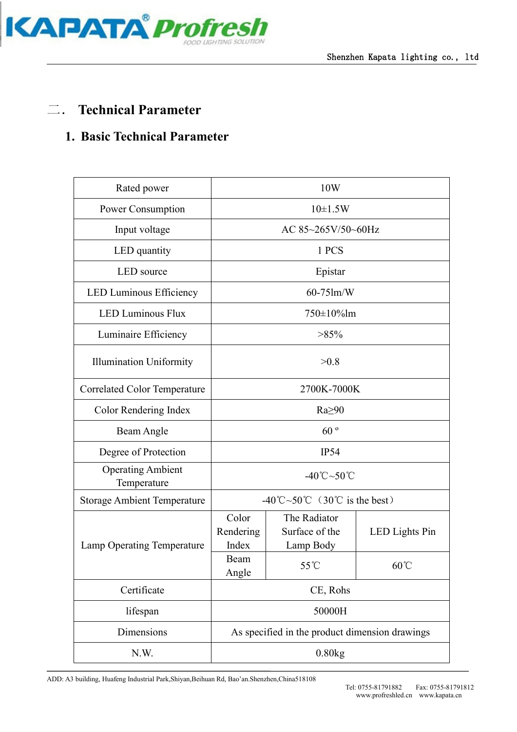

### 二. **Technical Parameter**

#### **1. Basic Technical Parameter**

| Rated power                             | 10W                                            |                                             |                |  |  |
|-----------------------------------------|------------------------------------------------|---------------------------------------------|----------------|--|--|
| Power Consumption                       | $10 \pm 1.5W$                                  |                                             |                |  |  |
| Input voltage                           | AC 85~265V/50~60Hz                             |                                             |                |  |  |
| LED quantity                            | 1 PCS                                          |                                             |                |  |  |
| LED source                              | Epistar                                        |                                             |                |  |  |
| LED Luminous Efficiency                 | 60-75lm/W                                      |                                             |                |  |  |
| <b>LED Luminous Flux</b>                | 750±10%lm                                      |                                             |                |  |  |
| Luminaire Efficiency                    | $>85\%$                                        |                                             |                |  |  |
| <b>Illumination Uniformity</b>          | >0.8                                           |                                             |                |  |  |
| <b>Correlated Color Temperature</b>     | 2700K-7000K                                    |                                             |                |  |  |
| Color Rendering Index                   | $Ra \geq 90$                                   |                                             |                |  |  |
| Beam Angle                              | 60°                                            |                                             |                |  |  |
| Degree of Protection                    | IP54                                           |                                             |                |  |  |
| <b>Operating Ambient</b><br>Temperature | $-40^{\circ}\text{C} \sim 50^{\circ}\text{C}$  |                                             |                |  |  |
| <b>Storage Ambient Temperature</b>      | -40°C~50°C $(30^{\circ}\text{C}$ is the best)  |                                             |                |  |  |
| Lamp Operating Temperature              | Color<br>Rendering<br>Index                    | The Radiator<br>Surface of the<br>Lamp Body | LED Lights Pin |  |  |
|                                         | Beam<br>Angle                                  | 55°C                                        | $60^{\circ}$ C |  |  |
| Certificate                             | CE, Rohs                                       |                                             |                |  |  |
| lifespan                                | 50000H                                         |                                             |                |  |  |
| Dimensions                              | As specified in the product dimension drawings |                                             |                |  |  |
| N.W.                                    | 0.80kg                                         |                                             |                |  |  |

ADD: A3 building, Huafeng Industrial Park,Shiyan,Beihuan Rd, Bao'an.Shenzhen,China518108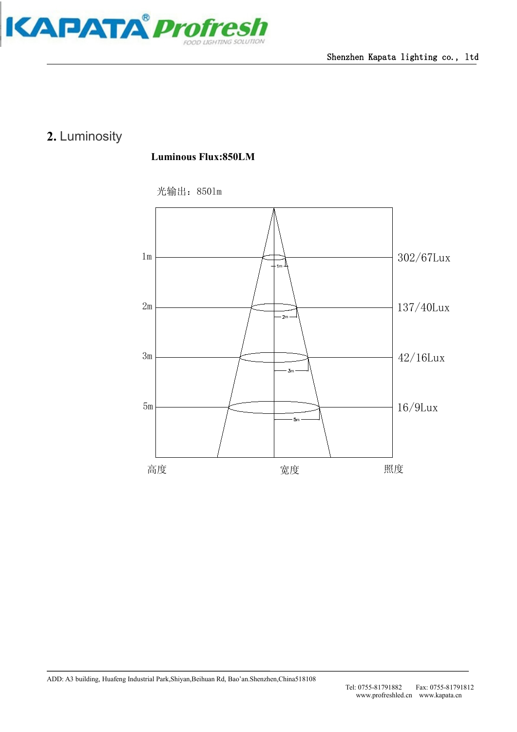

## **2.** Luminosity

#### **Luminous Flux:850LM**

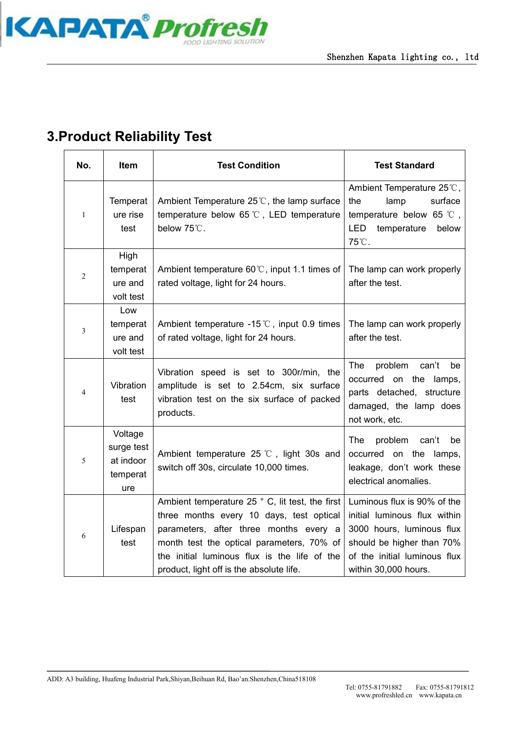

## **3.Product Reliability Test**

| No.          | <b>Test Condition</b><br>Item                         |                                                                                                                                                                                                                                                                                | <b>Test Standard</b>                                                                                                                                                          |
|--------------|-------------------------------------------------------|--------------------------------------------------------------------------------------------------------------------------------------------------------------------------------------------------------------------------------------------------------------------------------|-------------------------------------------------------------------------------------------------------------------------------------------------------------------------------|
| $\mathbf{1}$ | Temperat<br>ure rise<br>test                          | Ambient Temperature $25^{\circ}$ . the lamp surface<br>temperature below 65 °C, LED temperature<br>below 75°C.                                                                                                                                                                 | Ambient Temperature 25°C,<br>the<br>lamp<br>surface<br>temperature below 65 $\degree$ C,<br>LED<br>temperature<br>below<br>75°C.                                              |
| 2            | High<br>temperat<br>ure and<br>volt test              | Ambient temperature 60℃, input 1.1 times of<br>rated voltage, light for 24 hours.                                                                                                                                                                                              | The lamp can work properly<br>after the test.                                                                                                                                 |
| 3            | Low<br>temperat<br>ure and<br>volt test               | Ambient temperature -15 $\degree$ C, input 0.9 times<br>of rated voltage, light for 24 hours.                                                                                                                                                                                  | The lamp can work properly<br>after the test.                                                                                                                                 |
| 4            | Vibration<br>test                                     | Vibration speed is set to 300r/min, the<br>amplitude is set to 2.54cm, six surface<br>vibration test on the six surface of packed<br>products.                                                                                                                                 | problem<br>can't<br>The<br>be<br>occurred on the lamps,<br>parts detached, structure<br>damaged, the lamp does<br>not work, etc.                                              |
| 5            | Voltage<br>surge test<br>at indoor<br>temperat<br>ure | Ambient temperature 25 $\degree$ C, light 30s and<br>switch off 30s, circulate 10,000 times.                                                                                                                                                                                   | problem can't be<br>The<br>occurred on the lamps,<br>leakage, don't work these<br>electrical anomalies.                                                                       |
| 6            | Lifespan<br>test                                      | Ambient temperature 25 ° C, lit test, the first<br>three months every 10 days, test optical<br>parameters, after three months every a<br>month test the optical parameters, 70% of<br>the initial luminous flux is the life of the<br>product, light off is the absolute life. | Luminous flux is 90% of the<br>initial luminous flux within<br>3000 hours, luminous flux<br>should be higher than 70%<br>of the initial luminous flux<br>within 30,000 hours. |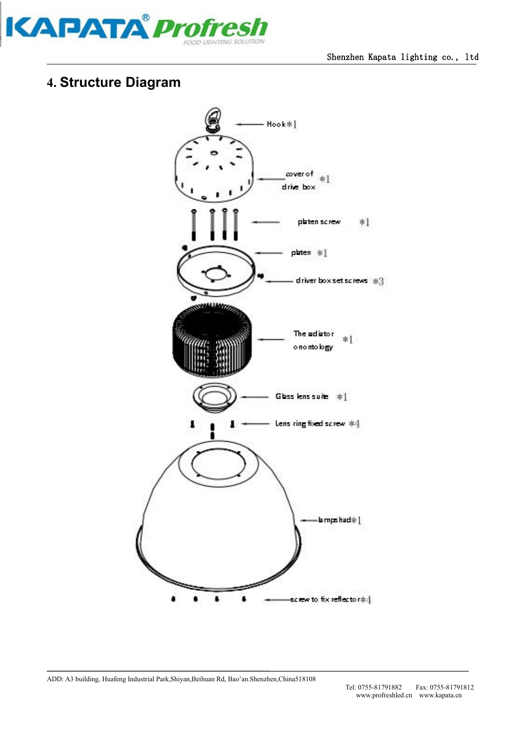

## **4. Structure Diagram**

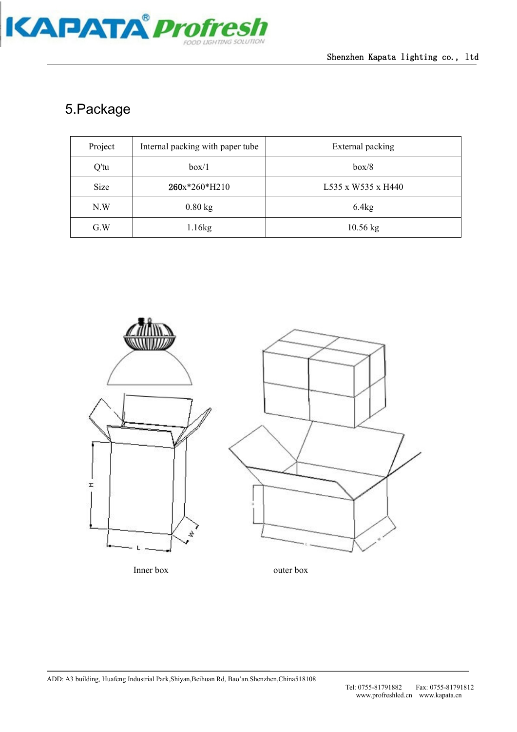

## 5.Package

| Project | Internal packing with paper tube | External packing   |  |
|---------|----------------------------------|--------------------|--|
| Q'tu    | box/1                            | box/8              |  |
| Size    | 260x*260*H210                    | L535 x W535 x H440 |  |
| N.W     | $0.80$ kg                        | 6.4kg              |  |
| G.W     | 1.16kg                           | $10.56$ kg         |  |